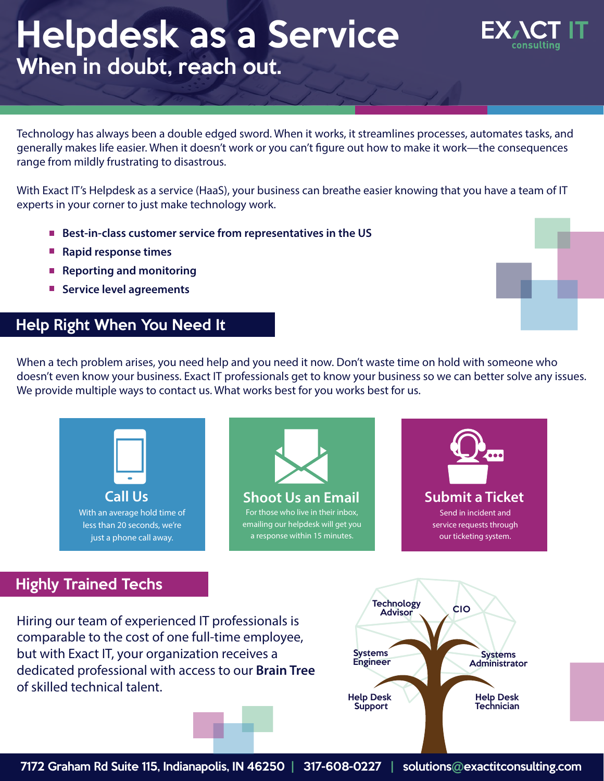# Helpdesk as a Service When in doubt, reach out.



Technology has always been a double edged sword. When it works, it streamlines processes, automates tasks, and generally makes life easier. When it doesn't work or you can't figure out how to make it work—the consequences range from mildly frustrating to disastrous.

With Exact IT's Helpdesk as a service (HaaS), your business can breathe easier knowing that you have a team of IT experts in your corner to just make technology work.

- Best-in-class customer service from representatives in the US
- **Rapid response times**
- Reporting and monitoring
- **Service level agreements**

## Help Right When You Need It

When a tech problem arises, you need help and you need it now. Don't waste time on hold with someone who doesn't even know your business. Exact IT professionals get to know your business so we can better solve any issues. We provide multiple ways to contact us. What works best for you works best for us.

Technology CIO Advisor Highly Trained Techs **Call Us** With an average hold time of less than 20 seconds, we're just a phone call away. **Shoot Us an Email** For those who live in their inbox, emailing our helpdesk will get you a response within 15 minutes. **Submit a Ticket** Send in incident and service requests through our ticketing system.

Hiring our team of experienced IT professionals is comparable to the cost of one full-time employee, but with Exact IT, your organization receives a dedicated professional with access to our **Brain Tree** of skilled technical talent.